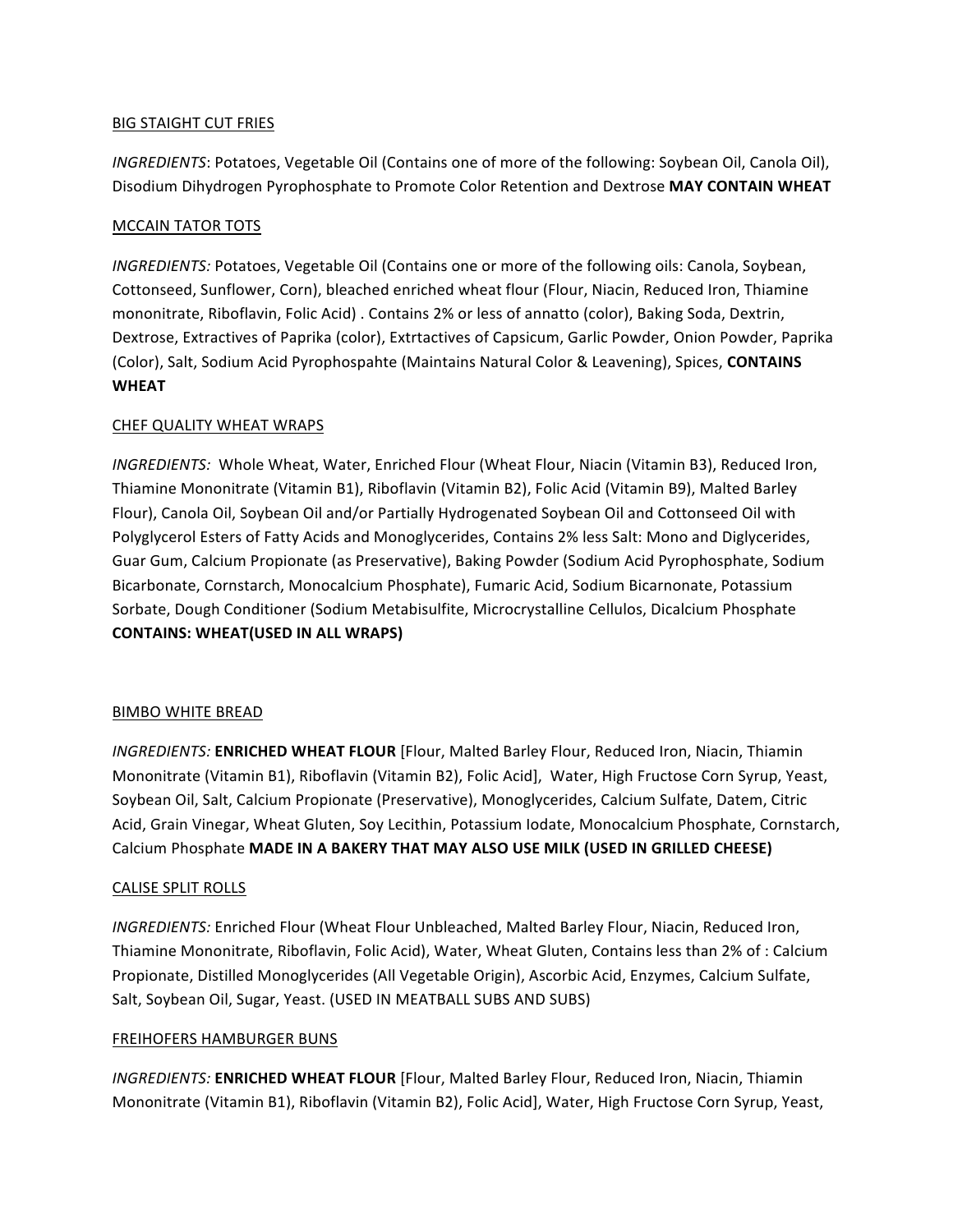### **BIG STAIGHT CUT FRIES**

*INGREDIENTS*: Potatoes, Vegetable Oil (Contains one of more of the following: Soybean Oil, Canola Oil), Disodium Dihydrogen Pyrophosphate to Promote Color Retention and Dextrose MAY CONTAIN WHEAT

### **MCCAIN TATOR TOTS**

*INGREDIENTS:* Potatoes, Vegetable Oil (Contains one or more of the following oils: Canola, Soybean, Cottonseed, Sunflower, Corn), bleached enriched wheat flour (Flour, Niacin, Reduced Iron, Thiamine mononitrate, Riboflavin, Folic Acid) . Contains 2% or less of annatto (color), Baking Soda, Dextrin, Dextrose, Extractives of Paprika (color), Extrtactives of Capsicum, Garlic Powder, Onion Powder, Paprika (Color), Salt, Sodium Acid Pyrophospahte (Maintains Natural Color & Leavening), Spices, CONTAINS **WHEAT**

### CHEF QUALITY WHEAT WRAPS

*INGREDIENTS:* Whole Wheat, Water, Enriched Flour (Wheat Flour, Niacin (Vitamin B3), Reduced Iron, Thiamine Mononitrate (Vitamin B1), Riboflavin (Vitamin B2), Folic Acid (Vitamin B9), Malted Barley Flour), Canola Oil, Soybean Oil and/or Partially Hydrogenated Soybean Oil and Cottonseed Oil with Polyglycerol Esters of Fatty Acids and Monoglycerides, Contains 2% less Salt: Mono and Diglycerides, Guar Gum, Calcium Propionate (as Preservative), Baking Powder (Sodium Acid Pyrophosphate, Sodium Bicarbonate, Cornstarch, Monocalcium Phosphate), Fumaric Acid, Sodium Bicarnonate, Potassium Sorbate, Dough Conditioner (Sodium Metabisulfite, Microcrystalline Cellulos, Dicalcium Phosphate **CONTAINS: WHEAT(USED IN ALL WRAPS)** 

### BIMBO WHITE BREAD

**INGREDIENTS: ENRICHED WHEAT FLOUR** [Flour, Malted Barley Flour, Reduced Iron, Niacin, Thiamin Mononitrate (Vitamin B1), Riboflavin (Vitamin B2), Folic Acid], Water, High Fructose Corn Syrup, Yeast, Soybean Oil, Salt, Calcium Propionate (Preservative), Monoglycerides, Calcium Sulfate, Datem, Citric Acid, Grain Vinegar, Wheat Gluten, Soy Lecithin, Potassium Iodate, Monocalcium Phosphate, Cornstarch, Calcium Phosphate MADE IN A BAKERY THAT MAY ALSO USE MILK (USED IN GRILLED CHEESE)

### CALISE SPLIT ROLLS

*INGREDIENTS:* Enriched Flour (Wheat Flour Unbleached, Malted Barley Flour, Niacin, Reduced Iron, Thiamine Mononitrate, Riboflavin, Folic Acid), Water, Wheat Gluten, Contains less than 2% of : Calcium Propionate, Distilled Monoglycerides (All Vegetable Origin), Ascorbic Acid, Enzymes, Calcium Sulfate, Salt, Soybean Oil, Sugar, Yeast. (USED IN MEATBALL SUBS AND SUBS)

### **FREIHOFERS HAMBURGER BUNS**

**INGREDIENTS: ENRICHED WHEAT FLOUR** [Flour, Malted Barley Flour, Reduced Iron, Niacin, Thiamin Mononitrate (Vitamin B1), Riboflavin (Vitamin B2), Folic Acid], Water, High Fructose Corn Syrup, Yeast,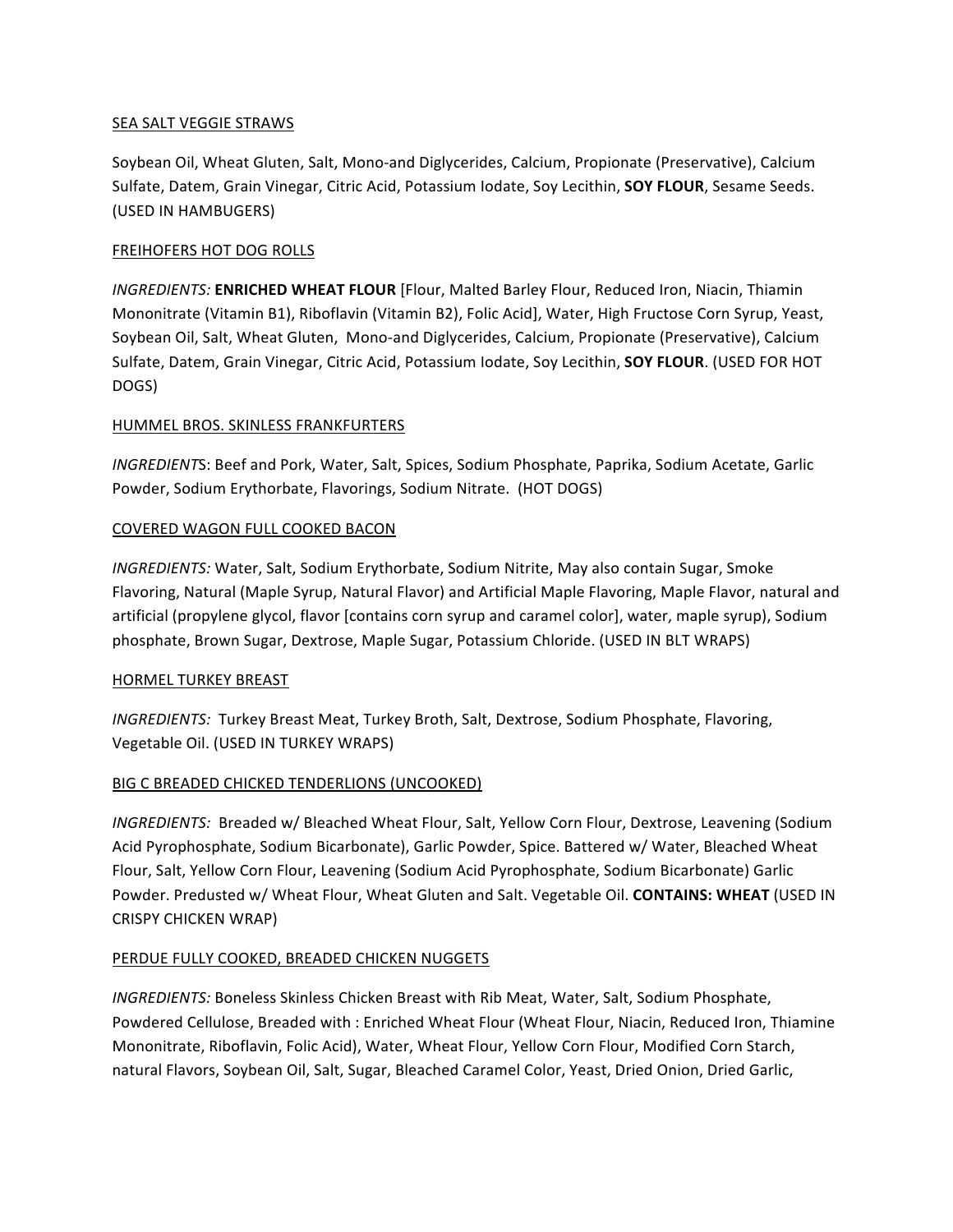### SEA SALT VEGGIE STRAWS

Soybean Oil, Wheat Gluten, Salt, Mono-and Diglycerides, Calcium, Propionate (Preservative), Calcium Sulfate, Datem, Grain Vinegar, Citric Acid, Potassium Iodate, Soy Lecithin, SOY FLOUR, Sesame Seeds. (USED IN HAMBUGERS)

## FREIHOFERS HOT DOG ROLLS

**INGREDIENTS: ENRICHED WHEAT FLOUR** [Flour, Malted Barley Flour, Reduced Iron, Niacin, Thiamin Mononitrate (Vitamin B1), Riboflavin (Vitamin B2), Folic Acid], Water, High Fructose Corn Syrup, Yeast, Soybean Oil, Salt, Wheat Gluten, Mono-and Diglycerides, Calcium, Propionate (Preservative), Calcium Sulfate, Datem, Grain Vinegar, Citric Acid, Potassium Iodate, Soy Lecithin, **SOY FLOUR**. (USED FOR HOT DOGS)

## HUMMEL BROS. SKINLESS FRANKFURTERS

*INGREDIENTS*: Beef and Pork, Water, Salt, Spices, Sodium Phosphate, Paprika, Sodium Acetate, Garlic Powder, Sodium Erythorbate, Flavorings, Sodium Nitrate. (HOT DOGS)

## COVERED WAGON FULL COOKED BACON

*INGREDIENTS:* Water, Salt, Sodium Erythorbate, Sodium Nitrite, May also contain Sugar, Smoke Flavoring, Natural (Maple Syrup, Natural Flavor) and Artificial Maple Flavoring, Maple Flavor, natural and artificial (propylene glycol, flavor [contains corn syrup and caramel color], water, maple syrup), Sodium phosphate, Brown Sugar, Dextrose, Maple Sugar, Potassium Chloride. (USED IN BLT WRAPS)

### HORMEL TURKEY BREAST

*INGREDIENTS:* Turkey Breast Meat, Turkey Broth, Salt, Dextrose, Sodium Phosphate, Flavoring, Vegetable Oil. (USED IN TURKEY WRAPS)

# BIG C BREADED CHICKED TENDERLIONS (UNCOOKED)

*INGREDIENTS:* Breaded w/ Bleached Wheat Flour, Salt, Yellow Corn Flour, Dextrose, Leavening (Sodium Acid Pyrophosphate, Sodium Bicarbonate), Garlic Powder, Spice. Battered w/ Water, Bleached Wheat Flour, Salt, Yellow Corn Flour, Leavening (Sodium Acid Pyrophosphate, Sodium Bicarbonate) Garlic Powder. Predusted w/ Wheat Flour, Wheat Gluten and Salt. Vegetable Oil. **CONTAINS: WHEAT** (USED IN CRISPY CHICKEN WRAP)

# PERDUE FULLY COOKED, BREADED CHICKEN NUGGETS

*INGREDIENTS:* Boneless Skinless Chicken Breast with Rib Meat, Water, Salt, Sodium Phosphate, Powdered Cellulose, Breaded with : Enriched Wheat Flour (Wheat Flour, Niacin, Reduced Iron, Thiamine Mononitrate, Riboflavin, Folic Acid), Water, Wheat Flour, Yellow Corn Flour, Modified Corn Starch, natural Flavors, Soybean Oil, Salt, Sugar, Bleached Caramel Color, Yeast, Dried Onion, Dried Garlic,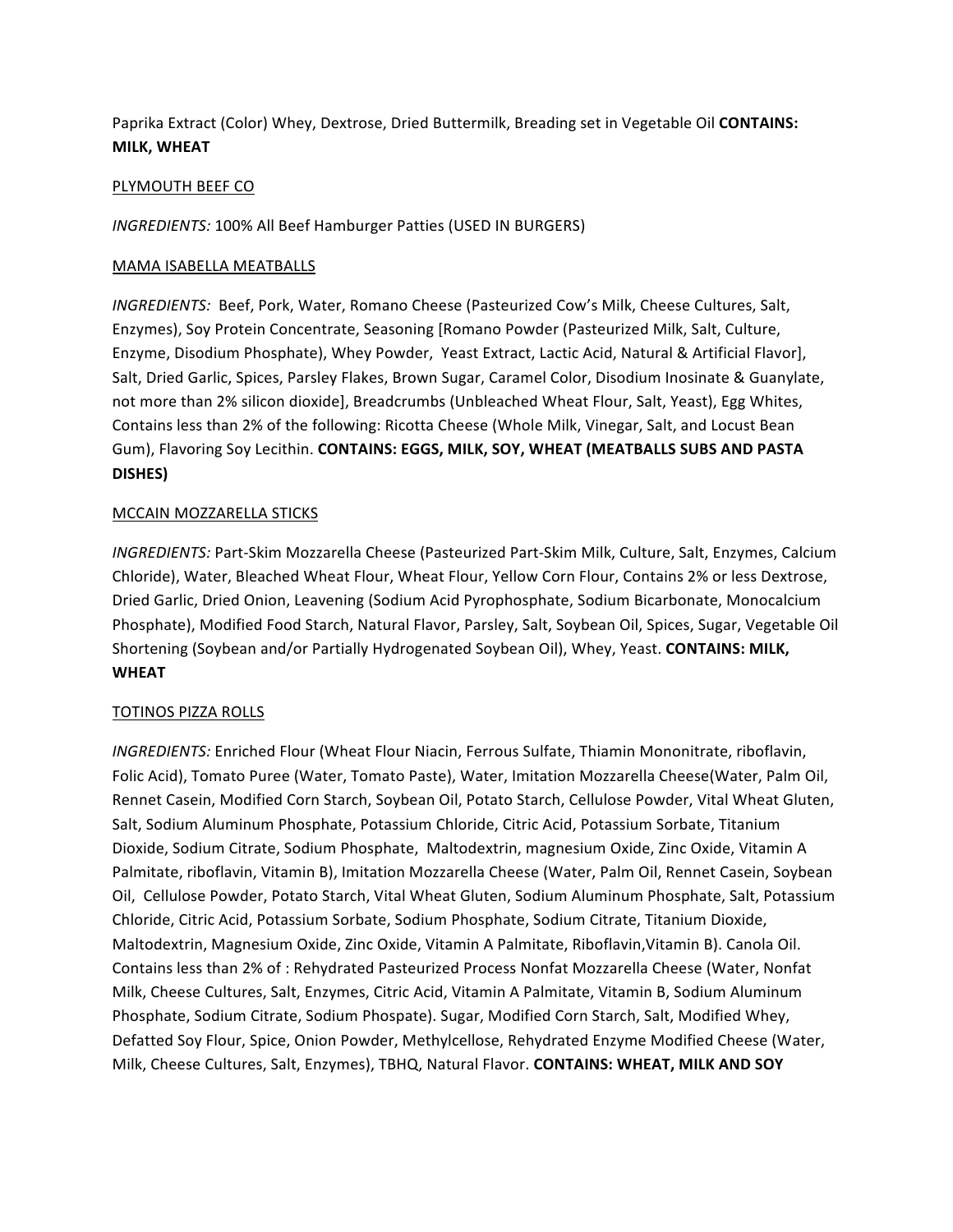Paprika Extract (Color) Whey, Dextrose, Dried Buttermilk, Breading set in Vegetable Oil **CONTAINS: MILK, WHEAT** 

### **PLYMOUTH BEEF CO**

*INGREDIENTS:* 100% All Beef Hamburger Patties (USED IN BURGERS)

### MAMA ISABELLA MEATBALLS

*INGREDIENTS:* Beef, Pork, Water, Romano Cheese (Pasteurized Cow's Milk, Cheese Cultures, Salt, Enzymes), Soy Protein Concentrate, Seasoning [Romano Powder (Pasteurized Milk, Salt, Culture, Enzyme, Disodium Phosphate), Whey Powder, Yeast Extract, Lactic Acid, Natural & Artificial Flavor], Salt, Dried Garlic, Spices, Parsley Flakes, Brown Sugar, Caramel Color, Disodium Inosinate & Guanylate, not more than 2% silicon dioxide], Breadcrumbs (Unbleached Wheat Flour, Salt, Yeast), Egg Whites, Contains less than 2% of the following: Ricotta Cheese (Whole Milk, Vinegar, Salt, and Locust Bean Gum), Flavoring Soy Lecithin. CONTAINS: EGGS, MILK, SOY, WHEAT (MEATBALLS SUBS AND PASTA **DISHES)**

## MCCAIN MOZZARELLA STICKS

*INGREDIENTS:* Part-Skim Mozzarella Cheese (Pasteurized Part-Skim Milk, Culture, Salt, Enzymes, Calcium Chloride), Water, Bleached Wheat Flour, Wheat Flour, Yellow Corn Flour, Contains 2% or less Dextrose, Dried Garlic, Dried Onion, Leavening (Sodium Acid Pyrophosphate, Sodium Bicarbonate, Monocalcium Phosphate), Modified Food Starch, Natural Flavor, Parsley, Salt, Soybean Oil, Spices, Sugar, Vegetable Oil Shortening (Soybean and/or Partially Hydrogenated Soybean Oil), Whey, Yeast. **CONTAINS: MILK, WHEAT**

### **TOTINOS PIZZA ROLLS**

*INGREDIENTS:* Enriched Flour (Wheat Flour Niacin, Ferrous Sulfate, Thiamin Mononitrate, riboflavin, Folic Acid), Tomato Puree (Water, Tomato Paste), Water, Imitation Mozzarella Cheese(Water, Palm Oil, Rennet Casein, Modified Corn Starch, Soybean Oil, Potato Starch, Cellulose Powder, Vital Wheat Gluten, Salt, Sodium Aluminum Phosphate, Potassium Chloride, Citric Acid, Potassium Sorbate, Titanium Dioxide, Sodium Citrate, Sodium Phosphate, Maltodextrin, magnesium Oxide, Zinc Oxide, Vitamin A Palmitate, riboflavin, Vitamin B), Imitation Mozzarella Cheese (Water, Palm Oil, Rennet Casein, Soybean Oil, Cellulose Powder, Potato Starch, Vital Wheat Gluten, Sodium Aluminum Phosphate, Salt, Potassium Chloride, Citric Acid, Potassium Sorbate, Sodium Phosphate, Sodium Citrate, Titanium Dioxide, Maltodextrin, Magnesium Oxide, Zinc Oxide, Vitamin A Palmitate, Riboflavin, Vitamin B). Canola Oil. Contains less than 2% of : Rehydrated Pasteurized Process Nonfat Mozzarella Cheese (Water, Nonfat Milk, Cheese Cultures, Salt, Enzymes, Citric Acid, Vitamin A Palmitate, Vitamin B, Sodium Aluminum Phosphate, Sodium Citrate, Sodium Phospate). Sugar, Modified Corn Starch, Salt, Modified Whey, Defatted Soy Flour, Spice, Onion Powder, Methylcellose, Rehydrated Enzyme Modified Cheese (Water, Milk, Cheese Cultures, Salt, Enzymes), TBHQ, Natural Flavor. **CONTAINS: WHEAT, MILK AND SOY**